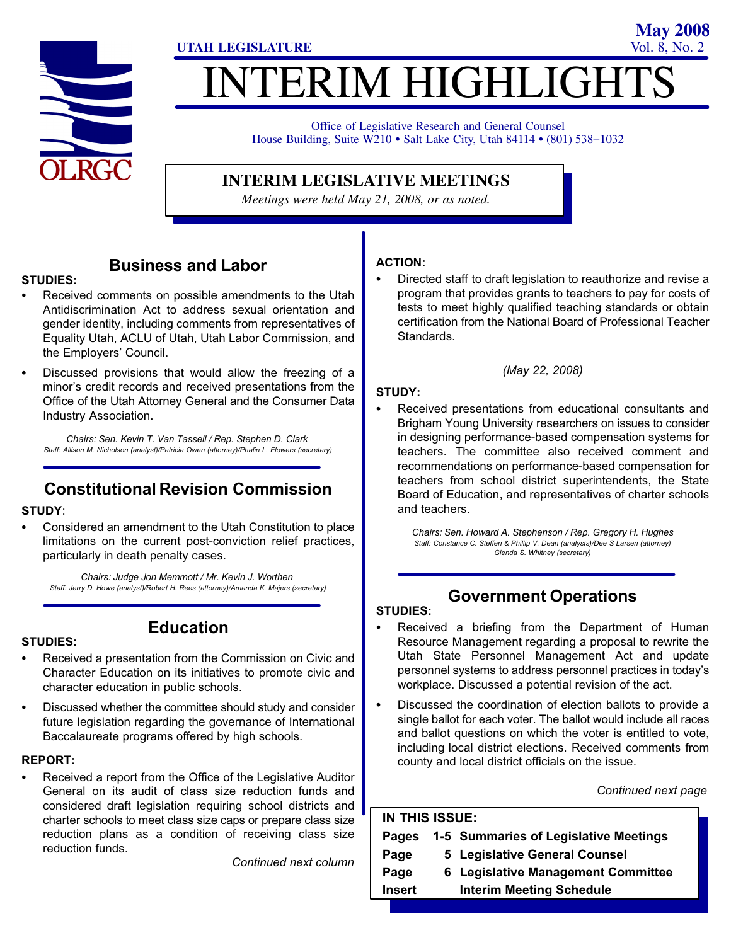

# **ITERIM HIGHLIGHT UTAH LEGISLATURE** Vol. 8, No. 2

Office of Legislative Research and General Counsel Office of Legislative Research and General Counsel<br>House Building, Suite W210 • Salt Lake City, Utah 84114 • (801) 538–1032

## **INTERIM LEGISLATIVE MEETINGS**

*Meetings were held May 21, 2008, or as noted.*

### Business and Labor

## STUDIES:<br>-

- Received comments on possible amendments to the Utah Antidiscrimination Act to address sexual orientation and gender identity, including comments from representatives of Equality Utah, ACLU of Utah, Utah Labor Commission, and the Employers' Council.
- Discussed provisions that would allow the freezing of a minor's credit records and received presentations from the Office of the Utah Attorney General and the Consumer Data Industry Association.

Chairs: Sen. Kevin T. Van Tassell / Rep. Stephen D. Clark Staff: Allison M. Nicholson (analyst)/Patricia Owen (attorney)/Phalin L. Flowers (secretary)

## Constitutional Revision Commission

## STUDY:

 Considered an amendment to the Utah Constitution to place limitations on the current post−conviction relief practices, particularly in death penalty cases.

Chairs: Judge Jon Memmott / Mr. Kevin J. Worthen Staff: Jerry D. Howe (analyst)/Robert H. Rees (attorney)/Amanda K. Majers (secretary)

#### Education

- STUDIES: - Received a presentation from the Commission on Civic and Character Education on its initiatives to promote civic and
- character education in public schools. Discussed whether the committee should study and consider future legislation regarding the governance of International
- Baccalaureate programs offered by high schools.

## REPORT: -

 Received a report from the Office of the Legislative Auditor General on its audit of class size reduction funds and considered draft legislation requiring school districts and charter schools to meet class size caps or prepare class size reduction plans as a condition of receiving class size reduction funds.

Continued next column

## ACTION: -

 Directed staff to draft legislation to reauthorize and revise a program that provides grants to teachers to pay for costs of tests to meet highly qualified teaching standards or obtain certification from the National Board of Professional Teacher Standards.

(May 22, 2008)

## STUDY: -

 Received presentations from educational consultants and Brigham Young University researchers on issues to consider in designing performance−based compensation systems for teachers. The committee also received comment and recommendations on performance−based compensation for teachers from school district superintendents, the State Board of Education, and representatives of charter schools and teachers.

Chairs: Sen. Howard A. Stephenson / Rep. Gregory H. Hughes Staff: Constance C. Steffen & Phillip V. Dean (analysts)/Dee S Larsen (attorney) Glenda S. Whitney (secretary)

## Government Operations

## STUDIES: -

- Received a briefing from the Department of Human Resource Management regarding a proposal to rewrite the Utah State Personnel Management Act and update personnel systems to address personnel practices in today's workplace. Discussed a potential revision of the act.
- Discussed the coordination of election ballots to provide a single ballot for each voter. The ballot would include all races and ballot questions on which the voter is entitled to vote, including local district elections. Received comments from county and local district officials on the issue.

Continued next page

**May 2008**

| IN THIS ISSUE: |  |                                       |  |  |
|----------------|--|---------------------------------------|--|--|
| Pages          |  | 1-5 Summaries of Legislative Meetings |  |  |
| Page           |  | 5 Legislative General Counsel         |  |  |
| Page           |  | 6 Legislative Management Committee    |  |  |
| <b>Insert</b>  |  | <b>Interim Meeting Schedule</b>       |  |  |
|                |  |                                       |  |  |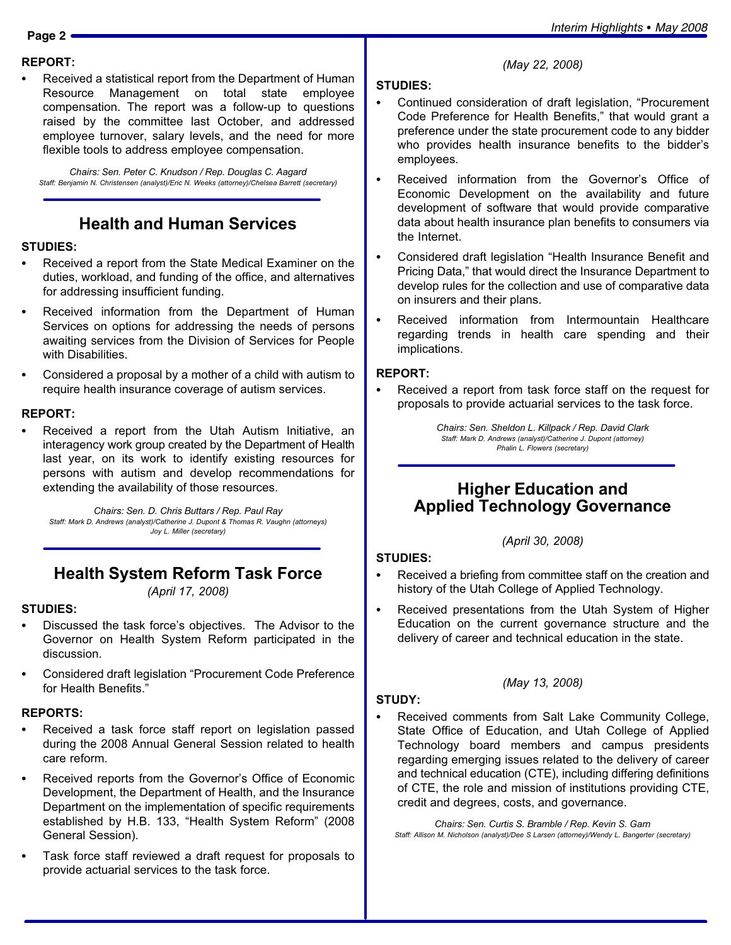## REPORT: -

 Received a statistical report from the Department of Human Resource Management on total state employee compensation. The report was a follow−up to questions raised by the committee last October, and addressed employee turnover, salary levels, and the need for more flexible tools to address employee compensation.

Chairs: Sen. Peter C. Knudson / Rep. Douglas C. Aagard Staff: Benjamin N. Christensen (analyst)/Eric N. Weeks (attorney)/Chelsea Barrett (secretary)

## Health and Human Services

## STUDIES:<br>-

- Received a report from the State Medical Examiner on the duties, workload, and funding of the office, and alternatives for addressing insufficient funding.
- Received information from the Department of Human Services on options for addressing the needs of persons awaiting services from the Division of Services for People with Disabilities.
- Considered a proposal by a mother of a child with autism to require health insurance coverage of autism services.

## REPORT: -

 Received a report from the Utah Autism Initiative, an interagency work group created by the Department of Health last year, on its work to identify existing resources for persons with autism and develop recommendations for extending the availability of those resources.

Chairs: Sen. D. Chris Buttars / Rep. Paul Ray Staff: Mark D. Andrews (analyst)/Catherine J. Dupont & Thomas R. Vaughn (attorneys) Joy L. Miller (secretary)

## Health System Reform Task Force

(April 17, 2008)

## STUDIES:<br>--

- Discussed the task force's objectives. The Advisor to the Governor on Health System Reform participated in the discussion.
- Considered draft legislation "Procurement Code Preference for Health Benefits."

## REPORTS: -

- Received a task force staff report on legislation passed during the 2008 Annual General Session related to health care reform.
- Received reports from the Governor's Office of Economic Development, the Department of Health, and the Insurance Department on the implementation of specific requirements established by H.B. 133, "Health System Reform" (2008 General Session).
- Task force staff reviewed a draft request for proposals to provide actuarial services to the task force.

## STUDIES: -

• Continued consideration of draft legislation, "Procurement Code Preference for Health Benefits," that would grant a preference under the state procurement code to any bidder who provides health insurance benefits to the bidder's employees.

(May 22, 2008)

- Received information from the Governor's Office of Economic Development on the availability and future development of software that would provide comparative data about health insurance plan benefits to consumers via the Internet.
- Considered draft legislation "Health Insurance Benefit and Pricing Data," that would direct the Insurance Department to develop rules for the collection and use of comparative data on insurers and their plans.
- Received information from Intermountain Healthcare regarding trends in health care spending and their implications.

## REPORT: -

 Received a report from task force staff on the request for proposals to provide actuarial services to the task force.

> Chairs: Sen. Sheldon L. Killpack / Rep. David Clark Staff: Mark D. Andrews (analyst)/Catherine J. Dupont (attorney) Phalin L. Flowers (secretary)

#### Higher Education and Applied Technology Governance

(April 30, 2008)

## STUDIES:<br>-

- Received a briefing from committee staff on the creation and history of the Utah College of Applied Technology.
- Received presentations from the Utah System of Higher Education on the current governance structure and the delivery of career and technical education in the state.

(May 13, 2008)

STUDY: - Received comments from Salt Lake Community College, State Office of Education, and Utah College of Applied Technology board members and campus presidents regarding emerging issues related to the delivery of career and technical education (CTE), including differing definitions of CTE, the role and mission of institutions providing CTE, credit and degrees, costs, and governance.

Chairs: Sen. Curtis S. Bramble / Rep. Kevin S. Garn Staff: Allison M. Nicholson (analyst)/Dee S Larsen (attorney)/Wendy L. Bangerter (secretary)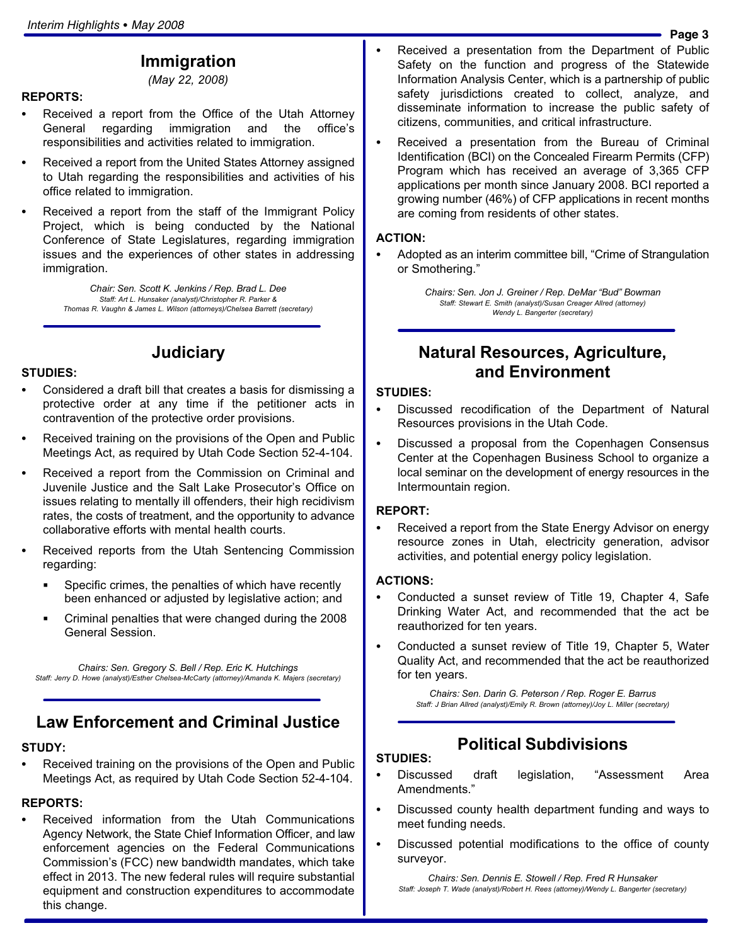#### Immigration

(May 22, 2008)

## REPORTS: -

- Received a report from the Office of the Utah Attorney General regarding immigration and the office's responsibilities and activities related to immigration.
- Received a report from the United States Attorney assigned to Utah regarding the responsibilities and activities of his office related to immigration.
- Received a report from the staff of the Immigrant Policy Project, which is being conducted by the National Conference of State Legislatures, regarding immigration issues and the experiences of other states in addressing immigration.

Chair: Sen. Scott K. Jenkins / Rep. Brad L. Dee Staff: Art L. Hunsaker (analyst)/Christopher R. Parker & Thomas R. Vaughn & James L. Wilson (attorneys)/Chelsea Barrett (secretary)

## STUDIES:<br>-

 Considered a draft bill that creates a basis for dismissing a protective order at any time if the petitioner acts in contravention of the protective order provisions.

**Judiciary** 

- Received training on the provisions of the Open and Public Meetings Act, as required by Utah Code Section 52−4−104.
- Received a report from the Commission on Criminal and Juvenile Justice and the Salt Lake Prosecutor's Office on issues relating to mentally ill offenders, their high recidivism rates, the costs of treatment, and the opportunity to advance collaborative efforts with mental health courts.
- Received reports from the Utah Sentencing Commission regarding:
	- Specific crimes, the penalties of which have recently been enhanced or adjusted by legislative action; and
	- Criminal penalties that were changed during the 2008 General Session.

Chairs: Sen. Gregory S. Bell / Rep. Eric K. Hutchings Staff: Jerry D. Howe (analyst)/Esther Chelsea−McCarty (attorney)/Amanda K. Majers (secretary)

#### Law Enforcement and Criminal Justice

## STUDY:<br>\_\_

 Received training on the provisions of the Open and Public Meetings Act, as required by Utah Code Section 52−4−104.

## REPORTS:<br>—

 Received information from the Utah Communications Agency Network, the State Chief Information Officer, and law enforcement agencies on the Federal Communications Commission's (FCC) new bandwidth mandates, which take effect in 2013. The new federal rules will require substantial equipment and construction expenditures to accommodate this change.

- - Received a presentation from the Department of Public Safety on the function and progress of the Statewide Information Analysis Center, which is a partnership of public safety jurisdictions created to collect, analyze, and disseminate information to increase the public safety of citizens, communities, and critical infrastructure.
- Received a presentation from the Bureau of Criminal Identification (BCI) on the Concealed Firearm Permits (CFP) Program which has received an average of 3,365 CFP applications per month since January 2008. BCI reported a growing number (46%) of CFP applications in recent months are coming from residents of other states.

### ACTION: -

• Adopted as an interim committee bill, "Crime of Strangulation or Smothering."

> Chairs: Sen. Jon J. Greiner / Rep. DeMar "Bud" Bowman Staff: Stewart E. Smith (analyst)/Susan Creager Allred (attorney) Wendy L. Bangerter (secretary)

#### Natural Resources, Agriculture, and Environment

### STUDIES:<br>--

- Discussed recodification of the Department of Natural Resources provisions in the Utah Code.
- Discussed a proposal from the Copenhagen Consensus Center at the Copenhagen Business School to organize a local seminar on the development of energy resources in the Intermountain region.

## REPORT:<br>-

 Received a report from the State Energy Advisor on energy resource zones in Utah, electricity generation, advisor activities, and potential energy policy legislation.

## ACTIONS:

- Conducted a sunset review of Title 19, Chapter 4, Safe Drinking Water Act, and recommended that the act be reauthorized for ten years.
- Conducted a sunset review of Title 19, Chapter 5, Water Quality Act, and recommended that the act be reauthorized for ten years.

Chairs: Sen. Darin G. Peterson / Rep. Roger E. Barrus Staff: J Brian Allred (analyst)/Emily R. Brown (attorney)/Joy L. Miller (secretary)

#### Political Subdivisions

## STUDIES:<br>--

- Discussed draft legislation, Assessment Area Amendments."
- Discussed county health department funding and ways to meet funding needs.
- Discussed potential modifications to the office of county surveyor.

Chairs: Sen. Dennis E. Stowell / Rep. Fred R Hunsaker Staff: Joseph T. Wade (analyst)/Robert H. Rees (attorney)/Wendy L. Bangerter (secretary)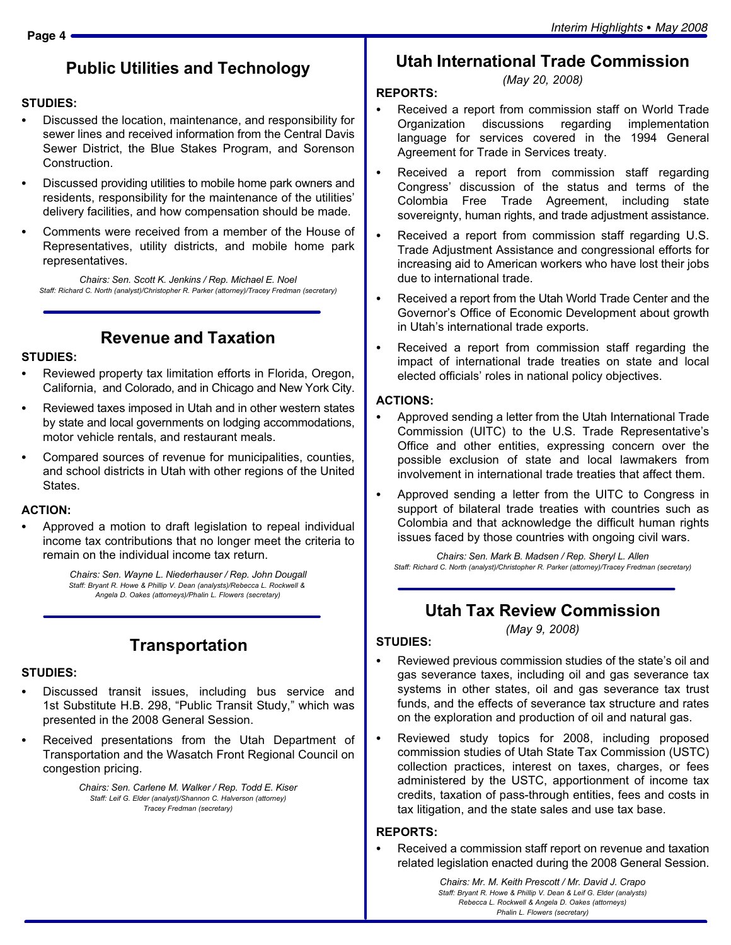## Public Utilities and Technology

## STUDIES:<br>--

- Discussed the location, maintenance, and responsibility for sewer lines and received information from the Central Davis Sewer District, the Blue Stakes Program, and Sorenson Construction.
- Discussed providing utilities to mobile home park owners and residents, responsibility for the maintenance of the utilities' delivery facilities, and how compensation should be made.
- Comments were received from a member of the House of Representatives, utility districts, and mobile home park representatives.

Chairs: Sen. Scott K. Jenkins / Rep. Michael E. Noel Staff: Richard C. North (analyst)/Christopher R. Parker (attorney)/Tracey Fredman (secretary)

### Revenue and Taxation

## STUDIES:<br>-

- Reviewed property tax limitation efforts in Florida, Oregon, California, and Colorado, and in Chicago and New York City.
- Reviewed taxes imposed in Utah and in other western states by state and local governments on lodging accommodations, motor vehicle rentals, and restaurant meals.
- Compared sources of revenue for municipalities, counties, and school districts in Utah with other regions of the United States.

## ACTION: -

 Approved a motion to draft legislation to repeal individual income tax contributions that no longer meet the criteria to remain on the individual income tax return.

> Chairs: Sen. Wayne L. Niederhauser / Rep. John Dougall Staff: Bryant R. Howe & Phillip V. Dean (analysts)/Rebecca L. Rockwell & Angela D. Oakes (attorneys)/Phalin L. Flowers (secretary)

## **Transportation**

#### STUDIES:

- Discussed transit issues, including bus service and 1st Substitute H.B. 298, "Public Transit Study," which was presented in the 2008 General Session.
- Received presentations from the Utah Department of Transportation and the Wasatch Front Regional Council on congestion pricing.

Chairs: Sen. Carlene M. Walker / Rep. Todd E. Kiser Staff: Leif G. Elder (analyst)/Shannon C. Halverson (attorney) Tracey Fredman (secretary)

#### Utah International Trade Commission (May 20, 2008)

#### REPORTS:

- - Received a report from commission staff on World Trade Organization discussions regarding implementation language for services covered in the 1994 General Agreement for Trade in Services treaty.
- $\bullet$  Received a report from commission staff regarding Congress' discussion of the status and terms of the Colombia Free Trade Agreement, including state sovereignty, human rights, and trade adjustment assistance.
- Received a report from commission staff regarding U.S. Trade Adjustment Assistance and congressional efforts for increasing aid to American workers who have lost their jobs due to international trade.
- Received a report from the Utah World Trade Center and the Governor's Office of Economic Development about growth in Utah's international trade exports.
- Received a report from commission staff regarding the impact of international trade treaties on state and local elected officials' roles in national policy objectives.

## ACTIONS: -

- Approved sending a letter from the Utah International Trade Commission (UITC) to the U.S. Trade Representative's Office and other entities, expressing concern over the possible exclusion of state and local lawmakers from involvement in international trade treaties that affect them.
- Approved sending a letter from the UITC to Congress in support of bilateral trade treaties with countries such as Colombia and that acknowledge the difficult human rights issues faced by those countries with ongoing civil wars.

Chairs: Sen. Mark B. Madsen / Rep. Sheryl L. Allen Staff: Richard C. North (analyst)/Christopher R. Parker (attorney)/Tracey Fredman (secretary)

#### Utah Tax Review Commission (May 9, 2008)

#### STUDIES:

- - Reviewed previous commission studies of the state's oil and gas severance taxes, including oil and gas severance tax systems in other states, oil and gas severance tax trust funds, and the effects of severance tax structure and rates on the exploration and production of oil and natural gas.
- Reviewed study topics for 2008, including proposed commission studies of Utah State Tax Commission (USTC) collection practices, interest on taxes, charges, or fees administered by the USTC, apportionment of income tax credits, taxation of pass−through entities, fees and costs in tax litigation, and the state sales and use tax base.

## REPORTS: -

 Received a commission staff report on revenue and taxation related legislation enacted during the 2008 General Session.

> Chairs: Mr. M. Keith Prescott / Mr. David J. Crapo Staff: Bryant R. Howe & Phillip V. Dean & Leif G. Elder (analysts) Rebecca L. Rockwell & Angela D. Oakes (attorneys) Phalin L. Flowers (secretary)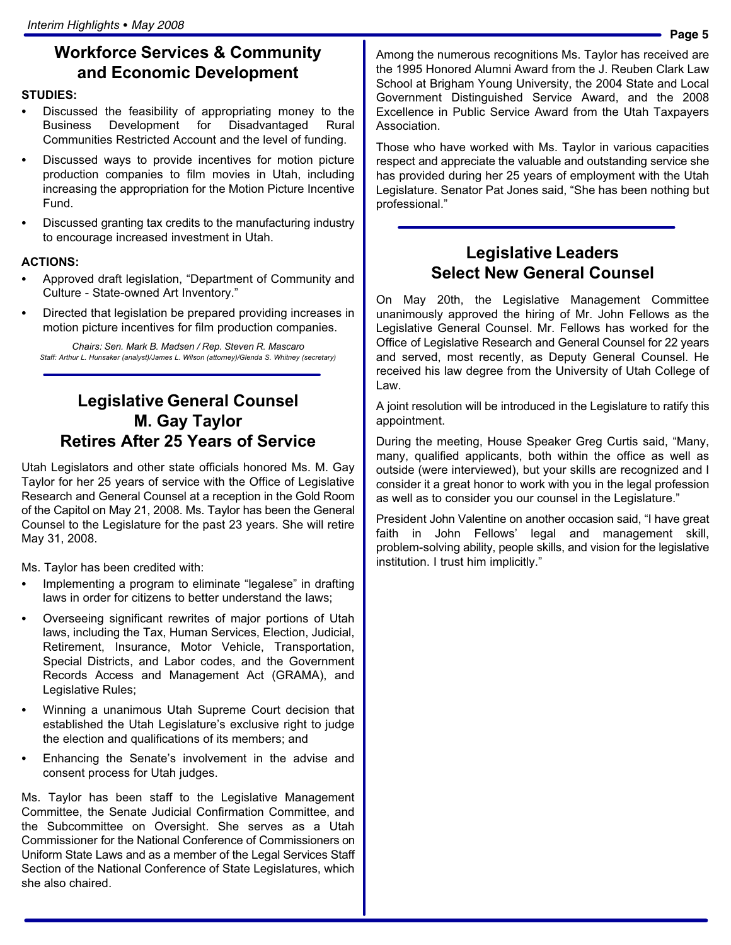## Workforce Services & Community and Economic Development

## STUDIES:<br>--

- Discussed the feasibility of appropriating money to the Business Development for Disadvantaged Rural Communities Restricted Account and the level of funding.
- Discussed ways to provide incentives for motion picture production companies to film movies in Utah, including increasing the appropriation for the Motion Picture Incentive Fund.
- Discussed granting tax credits to the manufacturing industry to encourage increased investment in Utah.

## ACTIONS: -

- Approved draft legislation, "Department of Community and Culture − State−owned Art Inventory."
- Directed that legislation be prepared providing increases in motion picture incentives for film production companies.

Chairs: Sen. Mark B. Madsen / Rep. Steven R. Mascaro Staff: Arthur L. Hunsaker (analyst)/James L. Wilson (attorney)/Glenda S. Whitney (secretary)

## Legislative General Counsel M. Gay Taylor Retires After 25 Years of Service

Utah Legislators and other state officials honored Ms. M. Gay Taylor for her 25 years of service with the Office of Legislative Research and General Counsel at a reception in the Gold Room of the Capitol on May 21, 2008. Ms. Taylor has been the General Counsel to the Legislature for the past 23 years. She will retire May 31, 2008.

Ms. Taylor has been credited with: -

- Implementing a program to eliminate "legalese" in drafting laws in order for citizens to better understand the laws;
- Overseeing significant rewrites of major portions of Utah laws, including the Tax, Human Services, Election, Judicial, Retirement, Insurance, Motor Vehicle, Transportation, Special Districts, and Labor codes, and the Government Records Access and Management Act (GRAMA), and Legislative Rules;
- Winning a unanimous Utah Supreme Court decision that established the Utah Legislature's exclusive right to judge the election and qualifications of its members; and
- Enhancing the Senate's involvement in the advise and consent process for Utah judges.

Ms. Taylor has been staff to the Legislative Management Committee, the Senate Judicial Confirmation Committee, and the Subcommittee on Oversight. She serves as a Utah Commissioner for the National Conference of Commissioners on Uniform State Laws and as a member of the Legal Services Staff Section of the National Conference of State Legislatures, which she also chaired.

Among the numerous recognitions Ms. Taylor has received are the 1995 Honored Alumni Award from the J. Reuben Clark Law School at Brigham Young University, the 2004 State and Local Government Distinguished Service Award, and the 2008 Excellence in Public Service Award from the Utah Taxpayers Association.

Those who have worked with Ms. Taylor in various capacities respect and appreciate the valuable and outstanding service she has provided during her 25 years of employment with the Utah Legislature. Senator Pat Jones said, "She has been nothing but professional."

## Legislative Leaders Select New General Counsel

On May 20th, the Legislative Management Committee unanimously approved the hiring of Mr. John Fellows as the Legislative General Counsel. Mr. Fellows has worked for the Office of Legislative Research and General Counsel for 22 years and served, most recently, as Deputy General Counsel. He received his law degree from the University of Utah College of Law.

A joint resolution will be introduced in the Legislature to ratify this appointment.

During the meeting, House Speaker Greg Curtis said, "Many, many, qualified applicants, both within the office as well as outside (were interviewed), but your skills are recognized and I consider it a great honor to work with you in the legal profession as well as to consider you our counsel in the Legislature."

President John Valentine on another occasion said, "I have great faith in John Fellows' legal and management skill, problem−solving ability, people skills, and vision for the legislative institution. I trust him implicitly."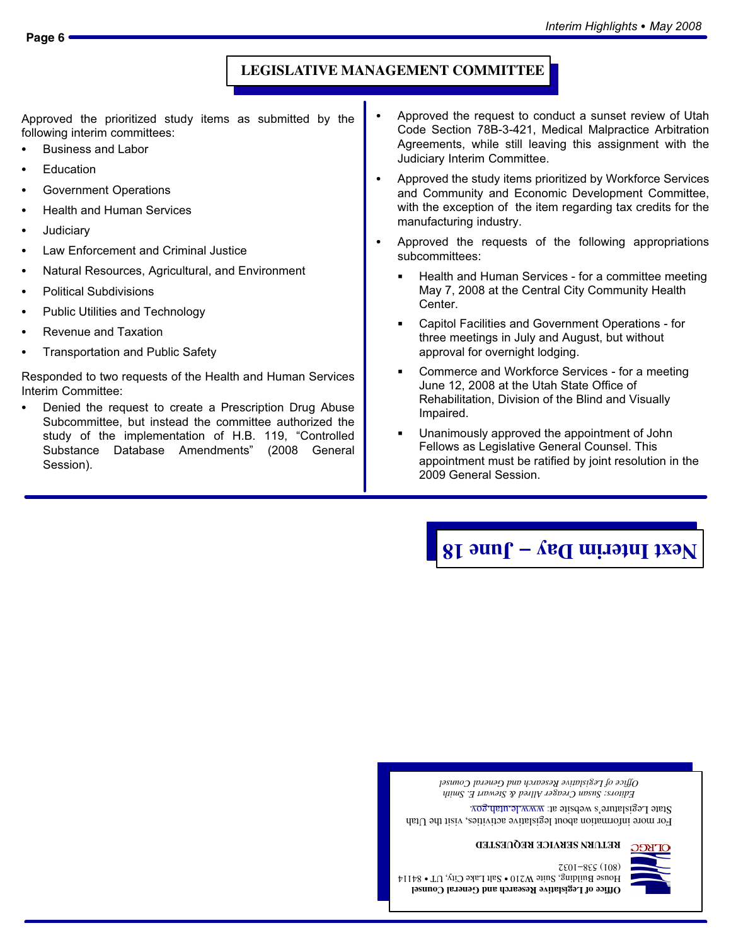#### **LEGISLATIVE MANAGEMENT COMMITTEE**

Approved the prioritized study items as submitted by the following interim committees: -

- Business and Labor
- Education
- Government Operations
- Health and Human Services
- **Judiciary**
- Law Enforcement and Criminal Justice
- Natural Resources, Agricultural, and Environment
- Political Subdivisions
- Public Utilities and Technology
- Revenue and Taxation
- Transportation and Public Safety

Responded to two requests of the Health and Human Services Interim Committee: -

 Denied the request to create a Prescription Drug Abuse Subcommittee, but instead the committee authorized the study of the implementation of H.B. 119, "Controlled Substance Database Amendments" (2008 General Session).

- Approved the request to conduct a sunset review of Utah Code Section 78B−3−421, Medical Malpractice Arbitration Agreements, while still leaving this assignment with the Judiciary Interim Committee.
- Approved the study items prioritized by Workforce Services and Community and Economic Development Committee, with the exception of the item regarding tax credits for the manufacturing industry.
- Approved the requests of the following appropriations subcommittees:
	- Health and Human Services for a committee meeting May 7, 2008 at the Central City Community Health Center.
	- Capitol Facilities and Government Operations − for three meetings in July and August, but without approval for overnight lodging.
	- Commerce and Workforce Services − for a meeting June 12, 2008 at the Utah State Office of Rehabilitation, Division of the Blind and Visually Impaired.
	- Unanimously approved the appointment of John Fellows as Legislative General Counsel. This appointment must be ratified by joint resolution in the 2009 General Session.

# $\int \mathbf{R} \cdot d\mathbf{r}$  **June 18 Next** Islams Day 18

*Editors: Susan Creager Allred & Stewart E. Smith Office of Legislative Research and General Counsel*

For more information about legislative activities, visit the Utah  $S$ tate Legislature's website at: www.le.utah.gov.



**Office of Legislative Research and General Counsel**  ${\rm H}$ ouse Building, S $\rm _{1}$ uite W210  $\bullet$  Salt Lake City, UT  $\bullet$  84114 7801-885 (108)